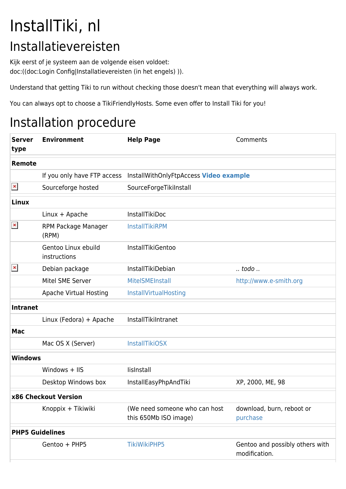## InstallTiki, nl Installatievereisten

Kijk eerst of je systeem aan de volgende eisen voldoet: doc:((doc:Login Config|Installatievereisten (in het engels) )).

Understand that getting Tiki to run without checking those doesn't mean that everything will always work.

You can always opt to choose a TikiFriendlyHosts. Some even offer to Install Tiki for you!

## Installation procedure

| <b>Server</b><br>type  | <b>Environment</b>                  | <b>Help Page</b>                                                   | Comments                                         |
|------------------------|-------------------------------------|--------------------------------------------------------------------|--------------------------------------------------|
| Remote                 |                                     |                                                                    |                                                  |
|                        |                                     | If you only have FTP access InstallWithOnlyFtpAccess Video example |                                                  |
| $\pmb{\times}$         | Sourceforge hosted                  | SourceForgeTikiInstall                                             |                                                  |
| Linux                  |                                     |                                                                    |                                                  |
|                        | Linux + Apache                      | <b>InstallTikiDoc</b>                                              |                                                  |
| $\pmb{\times}$         | RPM Package Manager<br>(RPM)        | <b>InstallTikiRPM</b>                                              |                                                  |
|                        | Gentoo Linux ebuild<br>instructions | InstallTikiGentoo                                                  |                                                  |
| $\pmb{\times}$         | Debian package                      | InstallTikiDebian                                                  | todo . <i>.</i>                                  |
|                        | Mitel SME Server                    | MitelSMEInstall                                                    | http://www.e-smith.org                           |
|                        | <b>Apache Virtual Hosting</b>       | InstallVirtualHosting                                              |                                                  |
| <b>Intranet</b>        |                                     |                                                                    |                                                  |
|                        | Linux (Fedora) + Apache             | InstallTikiIntranet                                                |                                                  |
| <b>Mac</b>             |                                     |                                                                    |                                                  |
|                        | Mac OS X (Server)                   | <b>InstallTikiOSX</b>                                              |                                                  |
| <b>Windows</b>         |                                     |                                                                    |                                                  |
|                        | Windows $+$ IIS                     | lislnstall                                                         |                                                  |
|                        | Desktop Windows box                 | InstallEasyPhpAndTiki                                              | XP, 2000, ME, 98                                 |
| x86 Checkout Version   |                                     |                                                                    |                                                  |
|                        | Knoppix + Tikiwiki                  | (We need someone who can host<br>this 650Mb ISO image)             | download, burn, reboot or<br>purchase            |
| <b>PHP5 Guidelines</b> |                                     |                                                                    |                                                  |
|                        | Gentoo + PHP5                       | <b>TikiWikiPHP5</b>                                                | Gentoo and possibly others with<br>modification. |